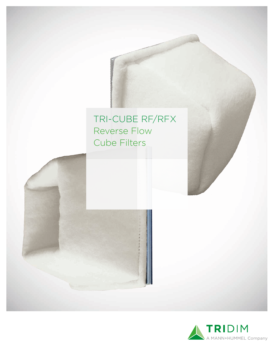# TRI-CUBE RF/RFX Reverse Flow Cube Filters

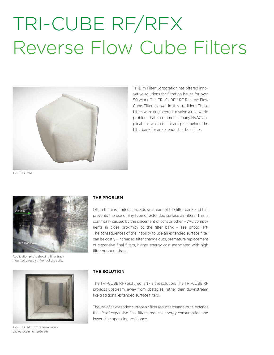# TRI-CUBE RF/RFX Reverse Flow Cube Filters



Tri-Dim Filter Corporation has offered innovative solutions for filtration issues for over 50 years. The TRI-CUBE™ RF Reverse Flow Cube Filter follows in this tradition. These filters were engineered to solve a real world problem that is common in many HVAC applications which is limited space behind the filter bank for an extended surface filter

TRI-CUBE™ RF



Application photo showing filter track mounted directly in front of the coils.



TRI-CUBE RF downstream view – shows retaining hardware

### **THE PROBLEM**

Often there is limited space downstream of the filter bank and this prevents the use of any type of extended surface air filters. This is commonly caused by the placement of coils or other HVAC components in close proximity to the filter bank – see photo left. The consequences of the inability to use an extended surface filter can be costly - increased filter change outs, premature replacement of expensive final filters, higher energy cost associated with high filter pressure drops.

### **THE SOLUTION**

The TRI-CUBE RF (pictured left) is the solution. The TRI-CUBE RF projects upstream, away from obstacles, rather than downstream like traditional extended surface filters.

The use of an extended surface air filter reduces change-outs, extends the life of expensive final filters, reduces energy consumption and lowers the operating resistance.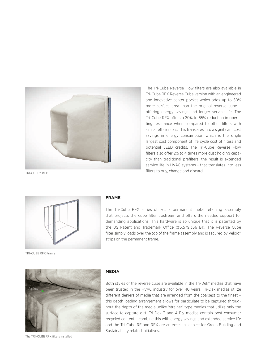

The Tri-Cube Reverse Flow filters are also available in Tri-Cube RFX Reverse Cube version with an engineered and innovative center pocket which adds up to 50% more surface area than the original reverse cube – offering energy savings and longer service life. The Tri-Cube RFX offers a 20% to 65% reduction in operating resistance when compared to other filters with similar efficiencies. This translates into a significant cost savings in energy consumption which is the single largest cost component of life cycle cost of filters and potential LEED credits. The Tri-Cube Reverse Flow filters also offer 2½ to 4 times more dust holding capacity than traditional prefilters, the result is extended service life in HVAC systems - that translates into less filters to buy, change and discard.

TRI-CUBE™ RFX



#### **FRAME**

The Tri-Cube RFX series utilizes a permanent metal retaining assembly that projects the cube filter upstream and offers the needed support for demanding applications. This hardware is so unique that it is patented by the US Patent and Trademark Office (#6,579,336 B1). The Reverse Cube filter simply loads over the top of the frame assembly and is secured by Velcro® strips on the permanent frame.





The TRI-CUBE RFX filters installed

#### **MEDIA**

Both styles of the reverse cube are available in the Tri-Dek® medias that have been trusted in the HVAC industry for over 40 years. Tri-Dek medias utilize different deniers of media that are arranged from the coarsest to the finest – this depth loading arrangement allows for particulate to be captured throughout the depth of the media unlike 'strainer' type medias that utilize only the surface to capture dirt. Tri-Dek 3 and 4-Ply medias contain post consumer recycled content – combine this with energy savings and extended service life and the Tri-Cube RF and RFX are an excellent choice for Green Building and Sustainability related initiatives.